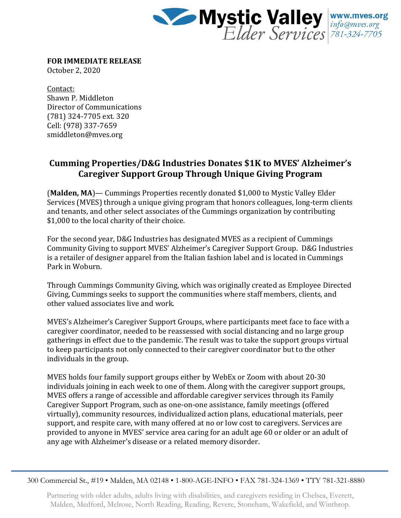

**FOR IMMEDIATE RELEASE**

October 2, 2020

Contact: Shawn P. Middleton Director of Communications (781) 324-7705 ext. 320 Cell: (978) 337-7659 smiddleton@mves.org

## **Cumming Properties/D&G Industries Donates \$1K to MVES' Alzheimer's Caregiver Support Group Through Unique Giving Program**

(**Malden, MA**)— Cummings Properties recently donated \$1,000 to Mystic Valley Elder Services (MVES) through a unique giving program that honors colleagues, long-term clients and tenants, and other select associates of the Cummings organization by contributing \$1,000 to the local charity of their choice.

For the second year, D&G Industries has designated MVES as a recipient of Cummings Community Giving to support MVES' Alzheimer's Caregiver Support Group. D&G Industries is a retailer of designer apparel from the Italian fashion label and is located in Cummings Park in Woburn.

Through Cummings Community Giving, which was originally created as Employee Directed Giving, Cummings seeks to support the communities where staff members, clients, and other valued associates live and work.

MVES's Alzheimer's Caregiver Support Groups, where participants meet face to face with a caregiver coordinator, needed to be reassessed with social distancing and no large group gatherings in effect due to the pandemic. The result was to take the support groups virtual to keep participants not only connected to their caregiver coordinator but to the other individuals in the group.

MVES holds four family support groups either by WebEx or Zoom with about 20-30 individuals joining in each week to one of them. Along with the caregiver support groups, MVES offers a range of accessible and affordable caregiver services through its Family Caregiver Support Program, such as one-on-one assistance, family meetings (offered virtually), community resources, individualized action plans, educational materials, peer support, and respite care, with many offered at no or low cost to caregivers. Services are provided to anyone in MVES' service area caring for an adult age 60 or older or an adult of any age with Alzheimer's disease or a related memory disorder.

300 Commercial St., #19 • Malden, MA 02148 • 1-800-AGE-INFO • FAX 781-324-1369 • TTY 781-321-8880

Partnering with older adults, adults living with disabilities, and caregivers residing in Chelsea, Everett, Malden, Medford, Melrose, North Reading, Reading, Revere, Stoneham, Wakefield, and Winthrop.